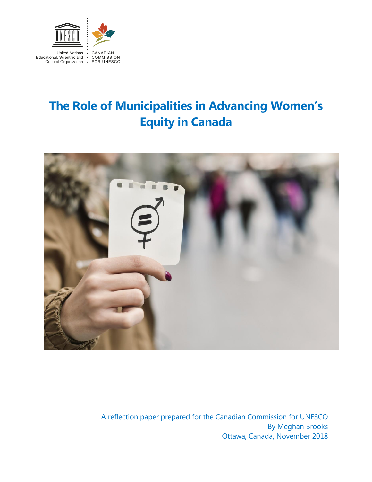

# **The Role of Municipalities in Advancing Women's Equity in Canada**



 A reflection paper prepared for the Canadian Commission for UNESCO By Meghan Brooks Ottawa, Canada, November 2018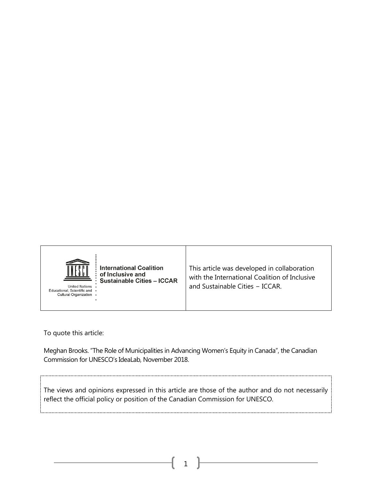

To quote this article:

Meghan Brooks. "The Role of Municipalities in Advancing Women's Equity in Canada", the Canadian Commission for UNESCO's IdeaLab, November 2018.

The views and opinions expressed in this article are those of the author and do not necessarily reflect the official policy or position of the Canadian Commission for UNESCO.

1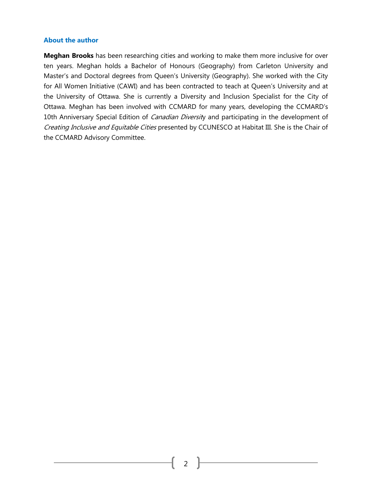#### **About the author**

**Meghan Brooks** has been researching cities and working to make them more inclusive for over ten years. Meghan holds a Bachelor of Honours (Geography) from Carleton University and Master's and Doctoral degrees from Queen's University (Geography). She worked with the City for All Women Initiative (CAWI) and has been contracted to teach at Queen's University and at the University of Ottawa. She is currently a Diversity and Inclusion Specialist for the City of Ottawa. Meghan has been involved with CCMARD for many years, developing the CCMARD's 10th Anniversary Special Edition of *Canadian Diversit*y and participating in the development of Creating Inclusive and Equitable Cities presented by CCUNESCO at Habitat III. She is the Chair of the CCMARD Advisory Committee.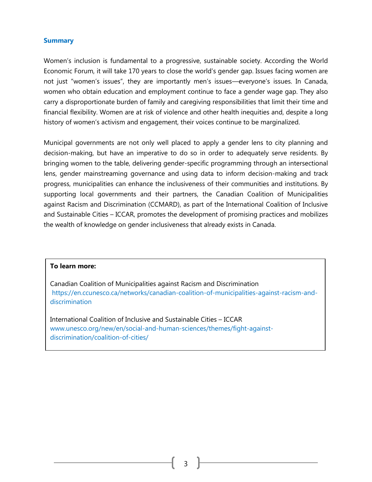#### **Summary**

Women's inclusion is fundamental to a progressive, sustainable society. According the World Economic Forum, it will take 170 years to close the world's gender gap. Issues facing women are not just "women's issues", they are importantly men's issues—everyone's issues. In Canada, women who obtain education and employment continue to face a gender wage gap. They also carry a disproportionate burden of family and caregiving responsibilities that limit their time and financial flexibility. Women are at risk of violence and other health inequities and, despite a long history of women's activism and engagement, their voices continue to be marginalized.

Municipal governments are not only well placed to apply a gender lens to city planning and decision-making, but have an imperative to do so in order to adequately serve residents. By bringing women to the table, delivering gender-specific programming through an intersectional lens, gender mainstreaming governance and using data to inform decision-making and track progress, municipalities can enhance the inclusiveness of their communities and institutions. By supporting local governments and their partners, the Canadian Coalition of Municipalities against Racism and Discrimination (CCMARD), as part of the International Coalition of Inclusive and Sustainable Cities – ICCAR, promotes the development of promising practices and mobilizes the wealth of knowledge on gender inclusiveness that already exists in Canada.

#### **To learn more:**

Canadian Coalition of Municipalities against Racism and Discrimination [https://en.ccunesco.ca/networks/canadian-coalition-of-municipalities-against-racism-and](https://en.ccunesco.ca/networks/canadian-coalition-of-municipalities-against-racism-and-discrimination)[discrimination](https://en.ccunesco.ca/networks/canadian-coalition-of-municipalities-against-racism-and-discrimination)

International Coalition of Inclusive and Sustainable Cities – ICCAR [www.unesco.org/new/en/social-and-human-sciences/themes/fight-against](http://www.unesco.org/new/en/social-and-human-sciences/themes/fight-against-discrimination/coalition-of-cities/)[discrimination/coalition-of-cities/](http://www.unesco.org/new/en/social-and-human-sciences/themes/fight-against-discrimination/coalition-of-cities/)

3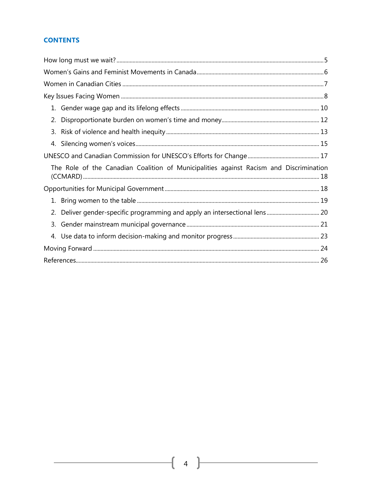# **CONTENTS**

| 2. |                                                                                        |  |
|----|----------------------------------------------------------------------------------------|--|
|    |                                                                                        |  |
|    |                                                                                        |  |
|    |                                                                                        |  |
|    | The Role of the Canadian Coalition of Municipalities against Racism and Discrimination |  |
|    |                                                                                        |  |
|    |                                                                                        |  |
|    |                                                                                        |  |
|    |                                                                                        |  |
|    |                                                                                        |  |
|    |                                                                                        |  |
|    |                                                                                        |  |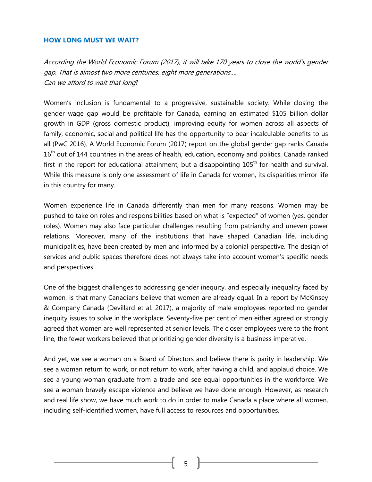#### <span id="page-5-0"></span>**HOW LONG MUST WE WAIT?**

According the World Economic Forum (2017), it will take 170 years to close the world's gender gap. That is almost two more centuries, eight more generations…. Can we afford to wait that long?

Women's inclusion is fundamental to a progressive, sustainable society. While closing the gender wage gap would be profitable for Canada, earning an estimated \$105 billion dollar growth in GDP (gross domestic product), improving equity for women across all aspects of family, economic, social and political life has the opportunity to bear incalculable benefits to us all [\(PwC 2016\).](https://www.pwc.com/ca/en/services/consulting/people-change/women-in-work-canadian-insights.html) A World Economic Forum (2017) report on the global gender gap ranks Canada 16<sup>th</sup> out of 144 countries in the areas of health, education, economy and politics. Canada ranked first in the report for educational attainment, but a disappointing  $105<sup>th</sup>$  for health and survival. While this measure is only one assessment of life in Canada for women, its disparities mirror life in this country for many.

Women experience life in Canada differently than men for many reasons. Women may be pushed to take on roles and responsibilities based on what is "expected" of women (yes, gender roles). Women may also face particular challenges resulting from patriarchy and uneven power relations. Moreover, many of the institutions that have shaped Canadian life, including municipalities, have been created by men and informed by a colonial perspective. The design of services and public spaces therefore does not always take into account women's specific needs and perspectives.

One of the biggest challenges to addressing gender inequity, and especially inequality faced by women, is that many Canadians believe that women are already equal. In a report by McKinsey & Company Canada [\(Devillard et al. 2017\),](https://www.mckinsey.com/featured-insights/gender-equality/the-power-of-parity-advancing-womens-equality-in-canada) a majority of male employees reported no gender inequity issues to solve in the workplace. Seventy-five per cent of men either agreed or strongly agreed that women are well represented at senior levels. The closer employees were to the front line, the fewer workers believed that prioritizing gender diversity is a business imperative.

And yet, we see a woman on a Board of Directors and believe there is parity in leadership. We see a woman return to work, or not return to work, after having a child, and applaud choice. We see a young woman graduate from a trade and see equal opportunities in the workforce. We see a woman bravely escape violence and believe we have done enough. However, as research and real life show, we have much work to do in order to make Canada a place where all women, including self-identified women, have full access to resources and opportunities.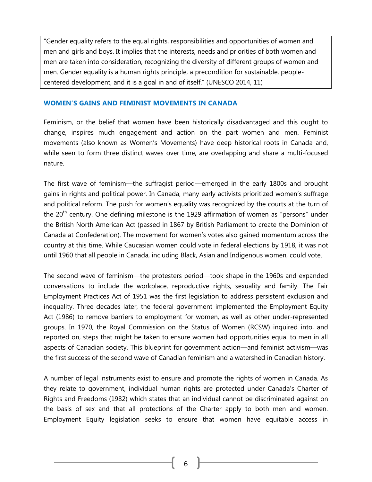"Gender equality refers to the equal rights, responsibilities and opportunities of women and men and girls and boys. It implies that the interests, needs and priorities of both women and men are taken into consideration, recognizing the diversity of different groups of women and men. Gender equality is a human rights principle, a precondition for sustainable, peoplecentered development, and it is a goal in and of itself." ([UNESCO](http://unesdoc.unesco.org/images/0022/002272/227222e.pdf) 2014, 11)

#### <span id="page-6-0"></span>**WOMEN'S GAINS AND FEMINIST MOVEMENTS IN CANADA**

Feminism, or the belief that women have been historically disadvantaged and this ought to change, inspires much engagement and action on the part women and men. Feminist movements (also known as Women's Movements) have deep historical roots in Canada and, while seen to form three distinct waves over time, are overlapping and share a multi-focused nature.

The first wave of feminism—the suffragist period—emerged in the early 1800s and brought gains in rights and political power. In Canada, many early activists prioritized women's suffrage and political reform. The push for women's equality was recognized by the courts at the turn of the  $20<sup>th</sup>$  century. One defining milestone is the 1929 affirmation of women as "persons" under the British North American Act (passed in 1867 by British Parliament to create the Dominion of Canada at Confederation). The movement for women's votes also gained momentum across the country at this time. While Caucasian women could vote in federal elections by 1918, it was not until 1960 that all people in Canada, including Black, Asian and Indigenous women, could vote.

The second wave of feminism—the protesters period—took shape in the 1960s and expanded conversations to include the workplace, reproductive rights, sexuality and family. The Fair Employment Practices Act of 1951 was the first legislation to address persistent exclusion and inequality. Three decades later, the federal government implemented the Employment Equity Act (1986) to remove barriers to employment for women, as well as other under-represented groups. In 1970, the Royal Commission on the Status of Women (RCSW) inquired into, and reported on, steps that might be taken to ensure women had opportunities equal to men in all aspects of Canadian society. This blueprint for government action—and feminist activism—was the first success of the second wave of Canadian feminism and a watershed in Canadian history.

A number of legal instruments exist to ensure and promote the rights of women in Canada. As they relate to government, individual human rights are protected under Canada's Charter of Rights and Freedoms (1982) which states that an individual cannot be discriminated against on the basis of sex and that all protections of the Charter apply to both men and women. Employment Equity legislation seeks to ensure that women have equitable access in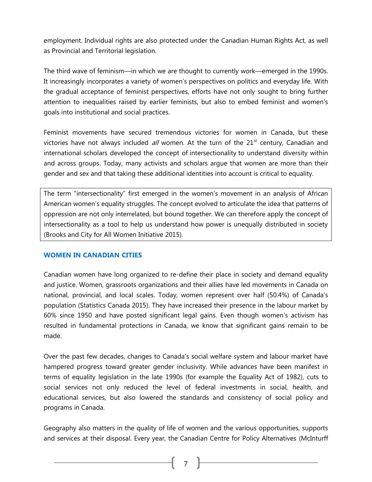employment. Individual rights are also protected under the Canadian Human Rights Act, as well as Provincial and Territorial legislation.

The third wave of feminism—in which we are thought to currently work—emerged in the 1990s. It increasingly incorporates a variety of women's perspectives on politics and everyday life. With the gradual acceptance of feminist perspectives, efforts have not only sought to bring further attention to inequalities raised by earlier feminists, but also to embed feminist and women's goals into institutional and social practices.

Feminist movements have secured tremendous victories for women in Canada, but these victories have not always included  $all$  women. At the turn of the  $21<sup>st</sup>$  century, Canadian and international scholars developed the concept of intersectionality to understand diversity within and across groups. Today, many activists and scholars argue that women are more than their gender and sex and that taking these additional identities into account is critical to equality.

The term "intersectionality" first emerged in the women's movement in an analysis of African American women's equality struggles. The concept evolved to articulate the idea that patterns of oppression are not only interrelated, but bound together. We can therefore apply the concept of intersectionality as a tool to help us understand how power is unequally distributed in society (Brooks and City for All Women Initiative 2015).

# <span id="page-7-0"></span>**WOMEN IN CANADIAN CITIES**

Canadian women have long organized to re-define their place in society and demand equality and justice. Women, grassroots organizations and their allies have led movements in Canada on national, provincial, and local scales. Today, women represent over half (50.4%) of Canada's population (Statistics Canada 2015). They have increased their presence in the labour market by 60% since 1950 and have posted significant legal gains. Even though women's activism has resulted in fundamental protections in Canada, we know that significant gains remain to be made.

Over the past few decades, changes to Canada's social welfare system and labour market have hampered progress toward greater gender inclusivity. While advances have been manifest in terms of equality legislation in the late 1990s (for example the Equality Act of 1982), cuts to social services not only reduced the level of federal investments in social, health, and educational services, but also lowered the standards and consistency of social policy and programs in Canada.

Geography also matters in the quality of life of women and the various opportunities, supports and services at their disposal. Every year, the Canadian Centre for Policy Alternatives (McInturff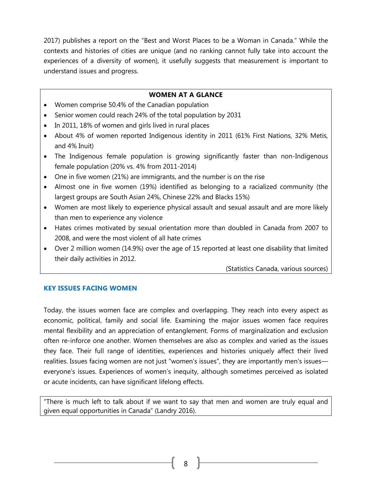2017) publishes a report on the "[Best and Worst Places to be a Woman](https://www.policyalternatives.ca/sites/default/files/uploads/publications/National%20Office/2017/10/Best%20and%20Worst%20Places%20to%20Be%20a%20Woman%202017.pdf) in Canada." While the contexts and histories of cities are unique (and no ranking cannot fully take into account the experiences of a diversity of women), it usefully suggests that measurement is important to understand issues and progress.

#### **WOMEN AT A GLANCE**

- Women comprise 50.4% of the Canadian population
- Senior women could reach 24% of the total population by 2031
- In 2011, 18% of women and girls lived in rural places
- About 4% of women reported Indigenous identity in 2011 (61% First Nations, 32% Metis, and 4% Inuit)
- The Indigenous female population is growing significantly faster than non-Indigenous female population (20% vs. 4% from 2011-2014)
- One in five women (21%) are immigrants, and the number is on the rise
- Almost one in five women (19%) identified as belonging to a racialized community (the largest groups are South Asian 24%, Chinese 22% and Blacks 15%)
- Women are most likely to experience physical assault and sexual assault and are more likely than men to experience any violence
- Hates crimes motivated by sexual orientation more than doubled in Canada from 2007 to 2008, and were the most violent of all hate crimes
- Over 2 million women (14.9%) over the age of 15 reported at least one disability that limited their daily activities in 2012.

(Statistics Canada, various sources)

#### <span id="page-8-0"></span>**KEY ISSUES FACING WOMEN**

Today, the issues women face are complex and overlapping. They reach into every aspect as economic, political, family and social life. Examining the major issues women face requires mental flexibility and an appreciation of entanglement. Forms of marginalization and exclusion often re-inforce one another. Women themselves are also as complex and varied as the issues they face. Their full range of identities, experiences and histories uniquely affect their lived realities. Issues facing women are not just "women's issues", they are importantly men's issues everyone's issues. Experiences of women's inequity, although sometimes perceived as isolated or acute incidents, can have significant lifelong effects.

"There is much left to talk about if we want to say that men and women are truly equal and given equal opportunities in Canada" (Landry 2016).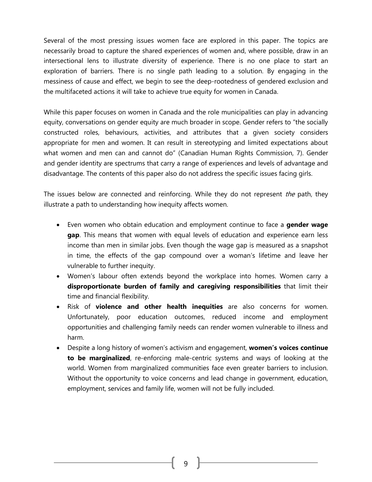Several of the most pressing issues women face are explored in this paper. The topics are necessarily broad to capture the shared experiences of women and, where possible, draw in an intersectional lens to illustrate diversity of experience. There is no one place to start an exploration of barriers. There is no single path leading to a solution. By engaging in the messiness of cause and effect, we begin to see the deep-rootedness of gendered exclusion and the multifaceted actions it will take to achieve true equity for women in Canada.

While this paper focuses on women in Canada and the role municipalities can play in advancing equity, conversations on gender equity are much broader in scope. Gender refers to "the socially constructed roles, behaviours, activities, and attributes that a given society considers appropriate for men and women. It can result in stereotyping and limited expectations about what women and men can and cannot do" (Canadian Human Rights Commission, 7). Gender and gender identity are spectrums that carry a range of experiences and levels of advantage and disadvantage. The contents of this paper also do not address the specific issues facing girls.

The issues below are connected and reinforcing. While they do not represent the path, they illustrate a path to understanding how inequity affects women.

- Even women who obtain education and employment continue to face a **gender wage gap**. This means that women with equal levels of education and experience earn less income than men in similar jobs. Even though the wage gap is measured as a snapshot in time, the effects of the gap compound over a woman's lifetime and leave her vulnerable to further inequity.
- Women's labour often extends beyond the workplace into homes. Women carry a **disproportionate burden of family and caregiving responsibilities** that limit their time and financial flexibility.
- Risk of **violence and other health inequities** are also concerns for women. Unfortunately, poor education outcomes, reduced income and employment opportunities and challenging family needs can render women vulnerable to illness and harm.
- Despite a long history of women's activism and engagement, **women's voices continue to be marginalized**, re-enforcing male-centric systems and ways of looking at the world. Women from marginalized communities face even greater barriers to inclusion. Without the opportunity to voice concerns and lead change in government, education, employment, services and family life, women will not be fully included.

9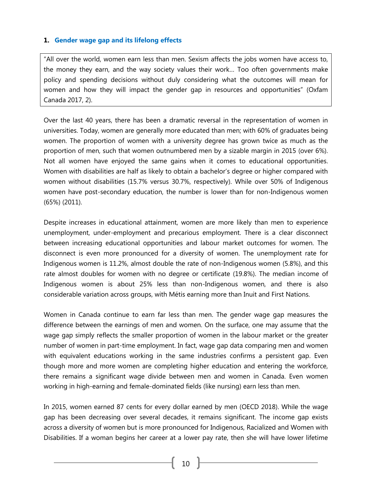#### <span id="page-10-0"></span>**1. Gender wage gap and its lifelong effects**

"All over the world, women earn less than men. Sexism affects the jobs women have access to, the money they earn, and the way society values their work… Too often governments make policy and spending decisions without duly considering what the outcomes will mean for women and how they will impact the gender gap in resources and opportunities" (Oxfam Canada 2017, 2).

Over the last 40 years, there has been a dramatic reversal in the representation of women in universities. Today, women are generally more educated than men; with 60% of graduates being women. The proportion of women with a university degree has grown twice as much as the proportion of men, such that women outnumbered men by a sizable margin in 2015 (over 6%). Not all women have enjoyed the same gains when it comes to educational opportunities. Women with disabilities are half as likely to obtain a bachelor's degree or higher compared with women without disabilities (15.7% versus 30.7%, respectively). While over 50% of Indigenous women have post-secondary education, the number is lower than for non-Indigenous women (65%) (2011).

Despite increases in educational attainment, women are more likely than men to experience unemployment, under-employment and precarious employment. There is a clear disconnect between increasing educational opportunities and labour market outcomes for women. The disconnect is even more pronounced for a diversity of women. The unemployment rate for Indigenous women is 11.2%, almost double the rate of non-Indigenous women (5.8%), and this rate almost doubles for women with no degree or certificate (19.8%). The median income of Indigenous women is about 25% less than non-Indigenous women, and there is also considerable variation across groups, with Métis earning more than Inuit and First Nations.

Women in Canada continue to earn far less than men. The gender wage gap measures the difference between the earnings of men and women. On the surface, one may assume that the wage gap simply reflects the smaller proportion of women in the labour market or the greater number of women in part-time employment. In fact, wage gap data comparing men and women with equivalent educations working in the same industries confirms a persistent gap. Even though more and more women are completing higher education and entering the workforce, there remains a significant wage divide between men and women in Canada. Even women working in high-earning and female-dominated fields (like nursing) earn less than men.

In 2015, women earned 87 cents for every dollar earned by men (OECD 2018). While the wage gap has been decreasing over several decades, it remains significant. The income gap exists across a diversity of women but is more pronounced for Indigenous, Racialized and Women with Disabilities. If a woman begins her career at a lower pay rate, then she will have lower lifetime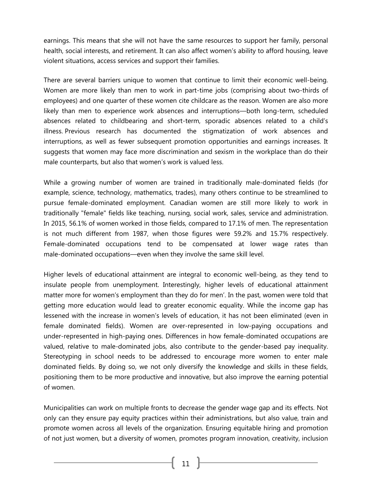earnings. This means that she will not have the same resources to support her family, personal health, social interests, and retirement. It can also affect women's ability to afford housing, leave violent situations, access services and support their families.

There are several barriers unique to women that continue to limit their economic well-being. Women are more likely than men to work in part-time jobs (comprising about two-thirds of employees) and one quarter of these women cite childcare as the reason. Women are also more likely than men to experience work absences and interruptions—both long-term, scheduled absences related to childbearing and short-term, sporadic absences related to a child's illness. Previous research has documented the stigmatization of work absences and interruptions, as well as fewer subsequent promotion opportunities and earnings increases. It suggests that women may face more discrimination and sexism in the workplace than do their male counterparts, but also that women's work is valued less.

While a growing number of women are trained in traditionally male-dominated fields (for example, science, technology, mathematics, trades), many others continue to be streamlined to pursue female-dominated employment. Canadian women are still more likely to work in traditionally "female" fields like teaching, nursing, social work, sales, service and administration. In 2015, 56.1% of women worked in those fields, compared to 17.1% of men. The representation is not much different from 1987, when those figures were 59.2% and 15.7% respectively. Female-dominated occupations tend to be compensated at lower wage rates than male-dominated occupations—even when they involve the same skill level.

Higher levels of educational attainment are integral to economic well-being, as they tend to insulate people from unemployment. Interestingly, higher levels of educational attainment matter more for women's employment than they do for men'. In the past, women were told that getting more education would lead to greater economic equality. While the income gap has lessened with the increase in women's levels of education, it has not been eliminated (even in female dominated fields). Women are over-represented in low-paying occupations and under-represented in high-paying ones. Differences in how female-dominated occupations are valued, relative to male-dominated jobs, also contribute to the gender-based pay inequality. Stereotyping in school needs to be addressed to encourage more women to enter male dominated fields. By doing so, we not only diversify the knowledge and skills in these fields, positioning them to be more productive and innovative, but also improve the earning potential of women.

Municipalities can work on multiple fronts to decrease the gender wage gap and its effects. Not only can they ensure pay equity practices within their administrations, but also value, train and promote women across all levels of the organization. Ensuring equitable hiring and promotion of not just women, but a diversity of women, promotes program innovation, creativity, inclusion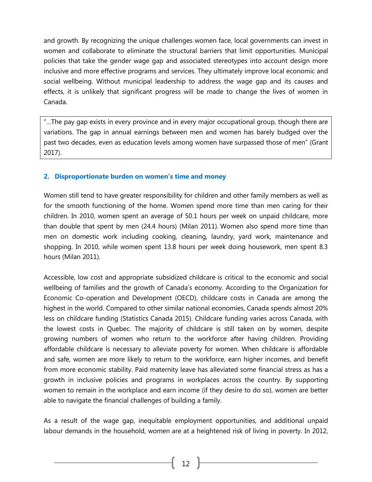and growth. By recognizing the unique challenges women face, local governments can invest in women and collaborate to eliminate the structural barriers that limit opportunities. Municipal policies that take the gender wage gap and associated stereotypes into account design more inclusive and more effective programs and services. They ultimately improve local economic and social wellbeing. Without municipal leadership to address the wage gap and its causes and effects, it is unlikely that significant progress will be made to change the lives of women in Canada.

"…The pay gap exists in every province and in every major occupational group, though there are variations. The gap in annual earnings between men and women has barely budged over the past two decades, even as education levels among women have surpassed those of men" (Grant 2017).

#### <span id="page-12-0"></span>**2. Disproportionate burden on women's time and money**

Women still tend to have greater responsibility for children and other family members as well as for the smooth functioning of the home. Women spend more time than men caring for their children. In 2010, women spent an average of 50.1 hours per week on unpaid childcare, more than double that spent by men (24.4 hours) [\(Milan](http://www.statcan.gc.ca/pub/89-503-x/2010001/article/11546-eng.htm) 2011). Women also spend more time than men on domestic work including cooking, cleaning, laundry, yard work, maintenance and shopping. In 2010, while women spent 13.8 hours per week doing housework, men spent 8.3 hours [\(Milan](http://www.statcan.gc.ca/pub/89-503-x/2010001/article/11546-eng.htm) 2011).

Accessible, low cost and appropriate subsidized childcare is critical to the economic and social wellbeing of families and the growth of Canada's economy. According to the Organization for Economic Co-operation and Development (OECD), childcare costs in Canada are among the highest in the world. Compared to other similar national economies, Canada spends almost 20% less on childcare funding (Statistics Canada 2015). Childcare funding varies across Canada, with the lowest costs in Quebec. The majority of childcare is still taken on by women, despite growing numbers of women who return to the workforce after having children. Providing affordable childcare is necessary to alleviate poverty for women. When childcare is affordable and safe, women are more likely to return to the workforce, earn higher incomes, and benefit from more economic stability. Paid maternity leave has alleviated some financial stress as has a growth in inclusive policies and programs in workplaces across the country. By supporting women to remain in the workplace and earn income (if they desire to do so), women are better able to navigate the financial challenges of building a family.

As a result of the wage gap, inequitable employment opportunities, and additional unpaid labour demands in the household, women are at a heightened risk of living in poverty. In 2012,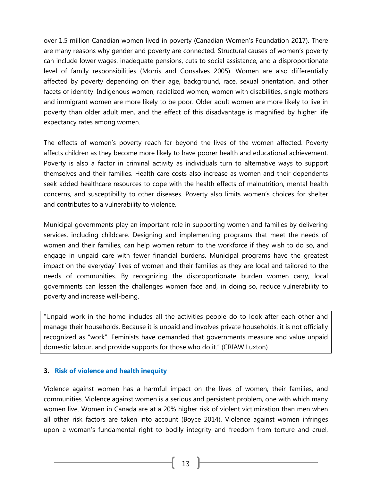over 1.5 million Canadian women lived in poverty (Canadian Women's Foundation 2017). There are many reasons why gender and poverty are connected. Structural causes of women's poverty can include lower wages, inadequate pensions, cuts to social assistance, and a disproportionate level of family responsibilities (Morris and Gonsalves 2005). Women are also differentially affected by poverty depending on their age, background, race, sexual orientation, and other facets of identity. Indigenous women, racialized women, women with disabilities, single mothers and immigrant women are more likely to be poor. Older adult women are more likely to live in poverty than older adult men, and the effect of this disadvantage is magnified by higher life expectancy rates among women.

The effects of women's poverty reach far beyond the lives of the women affected. Poverty affects children as they become more likely to have poorer health and educational achievement. Poverty is also a factor in criminal activity as individuals turn to alternative ways to support themselves and their families. Health care costs also increase as women and their dependents seek added healthcare resources to cope with the health effects of malnutrition, mental health concerns, and susceptibility to other diseases. Poverty also limits women's choices for shelter and contributes to a vulnerability to violence.

Municipal governments play an important role in supporting women and families by delivering services, including childcare. Designing and implementing programs that meet the needs of women and their families, can help women return to the workforce if they wish to do so, and engage in unpaid care with fewer financial burdens. Municipal programs have the greatest impact on the everyday` lives of women and their families as they are local and tailored to the needs of communities. By recognizing the disproportionate burden women carry, local governments can lessen the challenges women face and, in doing so, reduce vulnerability to poverty and increase well-being.

"Unpaid work in the home includes all the activities people do to look after each other and manage their households. Because it is unpaid and involves private households, it is not officially recognized as "work". Feminists have demanded that governments measure and value unpaid domestic labour, and provide supports for those who do it." ([CRIAW Luxton\)](http://www.criaw-icref.ca/images/userfiles/files/UnpaidWork.pdf)

# <span id="page-13-0"></span>**3. Risk of violence and health inequity**

Violence against women has a harmful impact on the lives of women, their families, and communities. Violence against women is a serious and persistent problem, one with which many women live. Women in Canada are at a 20% higher risk of violent victimization than men when all other risk factors are taken into account [\(Boyce](http://www.statcan.gc.ca/pub/85-002-x/2016001/article/14631-eng.htm#r13) 2014). Violence against women infringes upon a woman's fundamental right to bodily integrity and freedom from torture and cruel,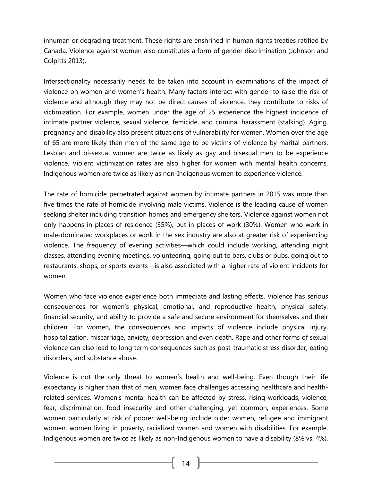inhuman or degrading treatment. These rights are enshrined in human rights treaties ratified by Canada. Violence against women also constitutes a form of gender discrimination (Johnson and Colpitts 2013).

Intersectionality necessarily needs to be taken into account in examinations of the impact of violence on women and women's health. Many factors interact with gender to raise the risk of violence and although they may not be direct causes of violence, they contribute to risks of victimization. For example, women under the age of 25 experience the highest incidence of intimate partner violence, sexual violence, femicide, and criminal harassment (stalking). Aging, pregnancy and disability also present situations of vulnerability for women. Women over the age of 65 are more likely than men of the same age to be victims of violence by marital partners. Lesbian and bi-sexual women are twice as likely as gay and bisexual men to be experience violence. Violent victimization rates are also higher for women with mental health concerns. Indigenous women are twice as likely as non-Indigenous women to experience violence.

The rate of homicide perpetrated against women by intimate partners in 2015 was more than five times the rate of homicide involving male victims. Violence is the leading cause of women seeking shelter including transition homes and emergency shelters. Violence against women not only happens in places of residence (35%), but in places of work (30%). Women who work in male-dominated workplaces or work in the sex industry are also at greater risk of experiencing violence. The frequency of evening activities—which could include working, attending night classes, attending evening meetings, volunteering, going out to bars, clubs or pubs, going out to restaurants, shops, or sports events—is also associated with a higher rate of violent incidents for women.

Women who face violence experience both immediate and lasting effects. Violence has serious consequences for women's physical, emotional, and reproductive health, physical safety, financial security, and ability to provide a safe and secure environment for themselves and their children. For women, the consequences and impacts of violence include physical injury, hospitalization, miscarriage, anxiety, depression and even death. Rape and other forms of sexual violence can also lead to long term consequences such as post-traumatic stress disorder, eating disorders, and substance abuse.

Violence is not the only threat to women's health and well-being. Even though their life expectancy is higher than that of men, women face challenges accessing healthcare and healthrelated services. Women's mental health can be affected by stress, rising workloads, violence, fear, discrimination, food insecurity and other challenging, yet common, experiences. Some women particularly at risk of poorer well-being include older women, refugee and immigrant women, women living in poverty, racialized women and women with disabilities. For example, Indigenous women are twice as likely as non-Indigenous women to have a disability (8% vs. 4%).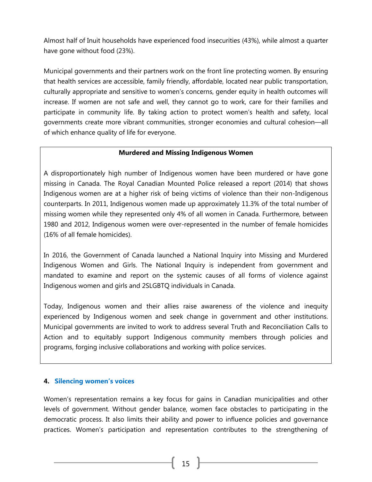Almost half of Inuit households have experienced food insecurities (43%), while almost a quarter have gone without food (23%).

Municipal governments and their partners work on the front line protecting women. By ensuring that health services are accessible, family friendly, affordable, located near public transportation, culturally appropriate and sensitive to women's concerns, gender equity in health outcomes will increase. If women are not safe and well, they cannot go to work, care for their families and participate in community life. By taking action to protect women's health and safety, local governments create more vibrant communities, stronger economies and cultural cohesion—all of which enhance quality of life for everyone.

# **Murdered and Missing Indigenous Women**

A disproportionately high number of Indigenous women have been murdered or have gone missing in Canada. The Royal Canadian Mounted Police released a report (2014) that shows Indigenous women are at a higher risk of being victims of violence than their non-Indigenous counterparts. In 2011, Indigenous women made up approximately 11.3% of the total number of missing women while they represented only 4% of all women in Canada. Furthermore, between 1980 and 2012, Indigenous women were over-represented in the number of female homicides (16% of all female homicides).

In 2016, the Government of Canada launched a [National Inquiry into Missing and Murdered](http://www.mmiwg-ffada.ca/)  [Indigenous Women and Girls.](http://www.mmiwg-ffada.ca/) The National Inquiry is independent from government and mandated to examine and report on the systemic causes of all forms of violence against Indigenous women and girls and 2SLGBTQ individuals in Canada.

Today, Indigenous women and their allies raise awareness of the violence and inequity experienced by Indigenous women and seek change in government and other institutions. Municipal governments are invited to work to address several Truth and Reconciliation Calls to Action and to equitably support Indigenous community members through policies and programs, forging inclusive collaborations and working with police services.

# <span id="page-15-0"></span>**4. Silencing women's voices**

Women's representation remains a key focus for gains in Canadian municipalities and other levels of government. Without gender balance, women face obstacles to participating in the democratic process. It also limits their ability and power to influence policies and governance practices. Women's participation and representation contributes to the strengthening of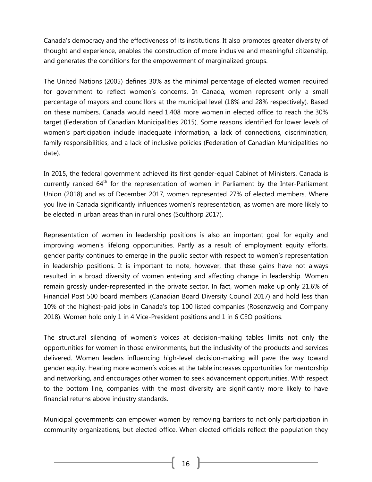Canada's democracy and the effectiveness of its institutions. It also promotes greater diversity of thought and experience, enables the construction of more inclusive and meaningful citizenship, and generates the conditions for the empowerment of marginalized groups.

The United Nations (2005) defines 30% as the minimal percentage of elected women required for government to reflect women's concerns. In Canada, women represent only a small percentage of mayors and councillors at the municipal level (18% and 28% respectively). Based on these numbers, Canada would need 1,408 more women in elected office to reach the 30% target (Federation of Canadian Municipalities 2015). Some reasons identified for lower levels of women's participation include inadequate information, a lack of connections, discrimination, family responsibilities, and a lack of inclusive policies (Federation of Canadian Municipalities no date).

In 2015, the federal government achieved its first gender-equal Cabinet of Ministers. Canada is currently ranked  $64<sup>th</sup>$  for the representation of women in Parliament by the Inter-Parliament Union (2018) and as of December 2017, women represented 27% of elected members. Where you live in Canada significantly influences women's representation, as women are more likely to be elected in urban areas than in rural ones [\(Sculthorp 2017\)](http://femmesetvilles.org/female-representation-in-canadas-parliament-the-rural-urban-divide-from-2006-to-2015/).

Representation of women in leadership positions is also an important goal for equity and improving women's lifelong opportunities. Partly as a result of employment equity efforts, gender parity continues to emerge in the public sector with respect to women's representation in leadership positions. It is important to note, however, that these gains have not always resulted in a broad diversity of women entering and affecting change in leadership. Women remain grossly under-represented in the private sector. In fact, women make up only 21.6% of Financial Post 500 board members (Canadian Board Diversity Council 2017) and hold less than 10% of the highest-paid jobs in Canada's top 100 listed companies (Rosenzweig and Company 2018). Women hold only 1 in 4 Vice-President positions and 1 in 6 CEO positions.

The structural silencing of women's voices at decision-making tables limits not only the opportunities for women in those environments, but the inclusivity of the products and services delivered. Women leaders influencing high-level decision-making will pave the way toward gender equity. Hearing more women's voices at the table increases opportunities for mentorship and networking, and encourages other women to seek advancement opportunities. With respect to the bottom line, companies with the most diversity are significantly more likely to have financial returns above industry standards.

Municipal governments can empower women by removing barriers to not only participation in community organizations, but elected office. When elected officials reflect the population they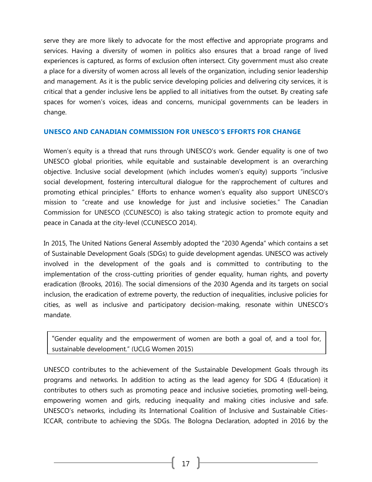serve they are more likely to advocate for the most effective and appropriate programs and services. Having a diversity of women in politics also ensures that a broad range of lived experiences is captured, as forms of exclusion often intersect. City government must also create a place for a diversity of women across all levels of the organization, including senior leadership and management. As it is the public service developing policies and delivering city services, it is critical that a gender inclusive lens be applied to all initiatives from the outset. By creating safe spaces for women's voices, ideas and concerns, municipal governments can be leaders in change.

#### <span id="page-17-0"></span>**UNESCO AND CANADIAN COMMISSION FOR UNESCO'S EFFORTS FOR CHANGE**

Women's equity is a thread that runs through UNESCO's work. Gender equality is one of two UNESCO global priorities, while equitable and sustainable development is an overarching objective. Inclusive social development (which includes women's equity) supports "inclusive social development, fostering intercultural dialogue for the rapprochement of cultures and promoting ethical principles." Efforts to enhance women's equality also support UNESCO's mission to "create and use knowledge for just and inclusive societies." The Canadian Commission for UNESCO (CCUNESCO) is also taking strategic action to promote equity and peace in Canada at the city-level (CCUNESCO 2014).

In 2015, The United Nations General Assembly adopted the "2030 Agenda" which contains a set of Sustainable Development Goals (SDGs) to guide development agendas. UNESCO was actively involved in the development of the goals and is committed to contributing to the implementation of the cross-cutting priorities of gender equality, human rights, and poverty eradication (Brooks, 2016). The social dimensions of the 2030 Agenda and its targets on social inclusion, the eradication of extreme poverty, the reduction of inequalities, inclusive policies for cities, as well as inclusive and participatory decision-making, resonate within UNESCO's mandate.

"Gender equality and the empowerment of women are both a goal of, and a tool for, sustainable development." (UCLG Women 2015)

UNESCO contributes to the achievement of the Sustainable Development Goals through its programs and networks. In addition to acting as the lead agency for SDG 4 (Education) it contributes to others such as promoting peace and inclusive societies, promoting well-being, empowering women and girls, reducing inequality and making cities inclusive and safe. UNESCO's networks, including its International Coalition of Inclusive and Sustainable Cities-ICCAR, contribute to achieving the SDGs. The [Bologna Declaration,](http://unesdoc.unesco.org/images/0025/002527/252716E.pdf) adopted in 2016 by the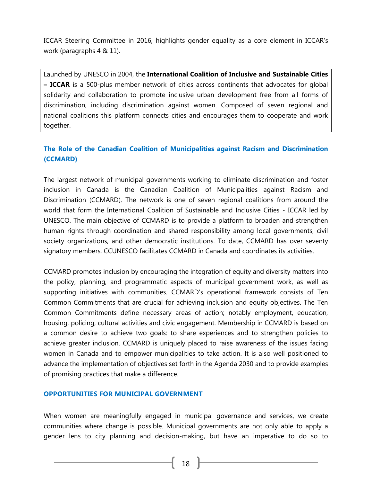ICCAR Steering Committee in 2016, highlights gender equality as a core element in ICCAR's work (paragraphs 4 & 11).

Launched by UNESCO in 2004, the **[International Coalition of Inclusive and Sustainable Cities](http://www.unesco.org/new/en/social-and-human-sciences/themes/fight-against-discrimination/coalition-of-cities/)  – [ICCAR](http://www.unesco.org/new/en/social-and-human-sciences/themes/fight-against-discrimination/coalition-of-cities/)** is a 500-plus member network of cities across continents that advocates for global solidarity and collaboration to promote inclusive urban development free from all forms of discrimination, including discrimination against women. Composed of seven regional and national coalitions this platform connects cities and encourages them to cooperate and work together.

# <span id="page-18-0"></span>**The Role of the Canadian Coalition of Municipalities against Racism and Discrimination (CCMARD)**

The largest network of municipal governments working to eliminate discrimination and foster inclusion in Canada is the [Canadian Coalition of Municipalities against Racism and](http://unesco.ca/home-accueil/ccmard-ccmcrd%20new)  [Discrimination](http://unesco.ca/home-accueil/ccmard-ccmcrd%20new) (CCMARD). The network is one of seven regional coalitions from around the world that form the International Coalition of Sustainable and Inclusive Cities - ICCAR led by UNESCO. The main objective of CCMARD is to provide a platform to broaden and strengthen human rights through coordination and shared responsibility among local governments, civil society organizations, and other democratic institutions. To date, CCMARD has over [seventy](http://unesco.ca/~/media/unesco/sciences%20sociale/2016%2003%2015%20list%20of%20municipalities%20ccmard%20with%20new%20logo%20(3).pdf) [signatory members.](http://unesco.ca/~/media/unesco/sciences%20sociale/2016%2003%2015%20list%20of%20municipalities%20ccmard%20with%20new%20logo%20(3).pdf) CCUNESCO facilitates CCMARD in Canada and coordinates its activities.

CCMARD promotes inclusion by encouraging the integration of equity and diversity matters into the policy, planning, and programmatic aspects of municipal government work, as well as supporting initiatives with communities. CCMARD's operational framework consists of [Ten](file:///C:/Users/clacasse/Downloads/ToolkitSummaryCCMARD%20(1).pdf)  [Common Commitments](file:///C:/Users/clacasse/Downloads/ToolkitSummaryCCMARD%20(1).pdf) that are crucial for achieving inclusion and equity objectives. The Ten Common Commitments define necessary areas of action; notably employment, education, housing, policing, cultural activities and civic engagement. Membership in CCMARD is based on a common desire to achieve two goals: to share experiences and to strengthen policies to achieve greater inclusion. CCMARD is uniquely placed to raise awareness of the issues facing women in Canada and to empower municipalities to take action. It is also well positioned to advance the implementation of objectives set forth in the Agenda 2030 and to provide examples of promising practices that make a difference.

# <span id="page-18-1"></span>**OPPORTUNITIES FOR MUNICIPAL GOVERNMENT**

When women are meaningfully engaged in municipal governance and services, we create communities where change is possible. Municipal governments are not only able to apply a gender lens to city planning and decision-making, but have an imperative to do so to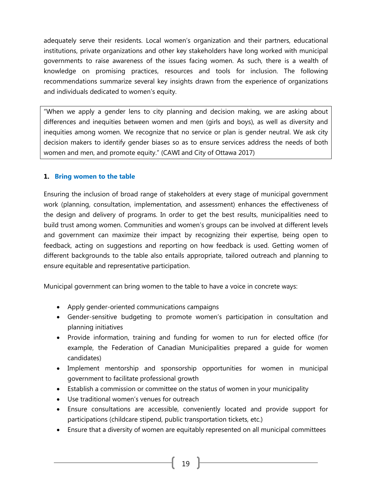adequately serve their residents. Local women's organization and their partners, educational institutions, private organizations and other key stakeholders have long worked with municipal governments to raise awareness of the issues facing women. As such, there is a wealth of knowledge on promising practices, resources and tools for inclusion. The following recommendations summarize several key insights drawn from the experience of organizations and individuals dedicated to women's equity.

"When we apply a gender lens to city planning and decision making, we are asking about differences and inequities between women and men (girls and boys), as well as diversity and inequities among women. We recognize that no service or plan is gender neutral. We ask city decision makers to identify gender biases so as to ensure services address the needs of both women and men, and promote equity." ([CAWI and City of Ottawa 2017\)](http://www.cawi-ivtf.org/sites/default/files/publications/women-snapshot_en.pdf)

#### <span id="page-19-0"></span>**1. Bring women to the table**

Ensuring the inclusion of broad range of stakeholders at every stage of municipal government work (planning, consultation, implementation, and assessment) enhances the effectiveness of the design and delivery of programs. In order to get the best results, municipalities need to build trust among women. Communities and women's groups can be involved at different levels and government can maximize their impact by recognizing their expertise, being open to feedback, acting on suggestions and reporting on how feedback is used. Getting women of different backgrounds to the table also entails appropriate, tailored outreach and planning to ensure equitable and representative participation.

Municipal government can bring women to the table to have a voice in concrete ways:

- Apply gender-oriented communications campaigns
- Gender-sensitive budgeting to promote women's participation in consultation and planning initiatives
- Provide information, training and funding for women to run for elected office (for example, the Federation of Canadian Municipalities prepared a guide for women candidates)
- Implement mentorship and sponsorship opportunities for women in municipal government to facilitate professional growth
- Establish a commission or committee on the status of women in your municipality
- Use traditional women's venues for outreach
- Ensure consultations are accessible, conveniently located and provide support for participations (childcare stipend, public transportation tickets, etc.)
- Ensure that a diversity of women are equitably represented on all municipal committees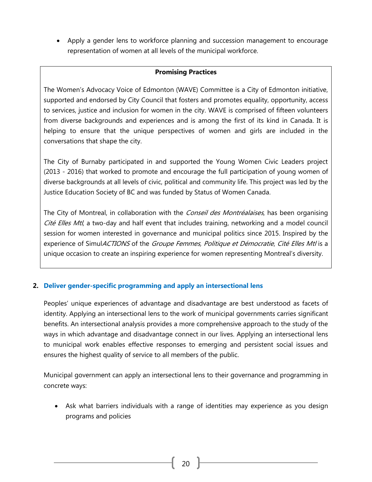Apply a gender lens to workforce planning and succession management to encourage representation of women at all levels of the municipal workforce.

#### **Promising Practices**

The [Women's Advocacy Voice of Edmonton \(WAVE\) Committee](https://www.edmonton.ca/city_government/city_organization/womens-advocacy-voice-of-edmonton-committee.aspx) is a City of Edmonton initiative, supported and endorsed by City Council that fosters and promotes equality, opportunity, access to services, justice and inclusion for women in the city. WAVE is comprised of fifteen volunteers from diverse backgrounds and experiences and is among the first of its kind in Canada. It is helping to ensure that the unique perspectives of women and girls are included in the conversations that shape the city.

The City of Burnaby participated in and supported the Young Women Civic Leaders project (2013 - 2016) that worked to promote and encourage the full participation of young women of diverse backgrounds at all levels of civic, political and community life. This project was led by the Justice Education Society of BC and was funded by Status of Women Canada.

The City of Montreal, in collaboration with the *Conseil des Montréalaises*, has been organising [Cité Elles Mtl](http://ville.montreal.qc.ca/portal/page?_pageid=8258,142408778&_dad=portal&_schema=PORTAL), a two-day and half event that includes training, networking and a model council session for women interested in governance and municipal politics since 2015. Inspired by the experience of SimulACTIONS of the Groupe Femmes, Politique et Démocratie, [Cité Elles Mtl](http://ville.montreal.qc.ca/portal/page?_pageid=8258,142408778&_dad=portal&_schema=PORTAL) is a unique occasion to create an inspiring experience for women representing Montreal's diversity.

# <span id="page-20-0"></span>**2. Deliver gender-specific programming and apply an intersectional lens**

Peoples' unique experiences of advantage and disadvantage are best understood as facets of identity. Applying an intersectional lens to the work of municipal governments carries significant benefits. An intersectional analysis provides a more comprehensive approach to the study of the ways in which advantage and disadvantage connect in our lives. Applying an intersectional lens to municipal work enables effective responses to emerging and persistent social issues and ensures the highest quality of service to all members of the public.

Municipal government can apply an intersectional lens to their governance and programming in concrete ways:

 Ask what barriers individuals with a range of identities may experience as you design programs and policies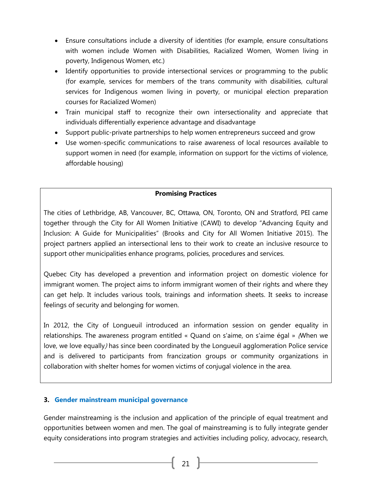- Ensure consultations include a diversity of identities (for example, ensure consultations with women include Women with Disabilities, Racialized Women, Women living in poverty, Indigenous Women, etc.)
- Identify opportunities to provide intersectional services or programming to the public (for example, services for members of the trans community with disabilities, cultural services for Indigenous women living in poverty, or municipal election preparation courses for Racialized Women)
- Train municipal staff to recognize their own intersectionality and appreciate that individuals differentially experience advantage and disadvantage
- Support public-private partnerships to help women entrepreneurs succeed and grow
- Use women-specific communications to raise awareness of local resources available to support women in need (for example, information on support for the victims of violence, affordable housing)

# **Promising Practices**

The cities of Lethbridge, AB, Vancouver, BC, Ottawa, ON, Toronto, ON and Stratford, PEI came together through the City for All Women Initiative (CAWI) to develop "Advancing Equity and Inclusion: A Guide for Municipalities" (Brooks and City for All Women Initiative 2015). The project partners applied an intersectional lens to their work to create an inclusive resource to support other municipalities enhance programs, policies, procedures and services.

Quebec City has developed a prevention and information project on domestic violence for immigrant women. The project aims to inform immigrant women of their rights and where they can get help. It includes various tools, trainings and information sheets. It seeks to increase feelings of security and belonging for women.

In 2012, the City of Longueuil introduced an information session on gender equality in relationships. The awareness program entitled « Quand on s'aime, on s'aime égal » ([When we](https://www.longueuil.quebec/files/longueuil/images/pdf/when_we_love_we_love_equally.pdf)  [love, we love equally](https://www.longueuil.quebec/files/longueuil/images/pdf/when_we_love_we_love_equally.pdf)) has since been coordinated by the Longueuil agglomeration Police service and is delivered to participants from francization groups or community organizations in collaboration with shelter homes for women victims of conjugal violence in the area.

#### <span id="page-21-0"></span>**3. Gender mainstream municipal governance**

Gender mainstreaming is the inclusion and application of the principle of equal treatment and opportunities between women and men. The goal of mainstreaming is to fully integrate gender equity considerations into program strategies and activities including policy, advocacy, research,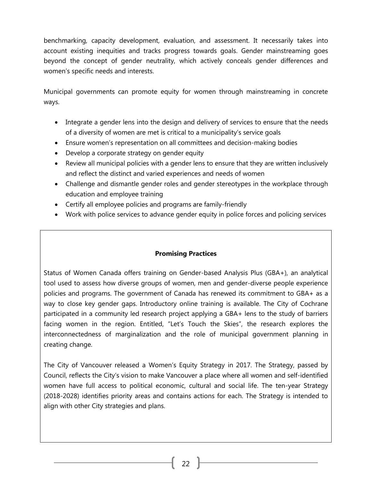benchmarking, capacity development, evaluation, and assessment. It necessarily takes into account existing inequities and tracks progress towards goals. Gender mainstreaming goes beyond the concept of gender neutrality, which actively conceals gender differences and women's specific needs and interests.

Municipal governments can promote equity for women through mainstreaming in concrete ways.

- Integrate a gender lens into the design and delivery of services to ensure that the needs of a diversity of women are met is critical to a municipality's service goals
- Ensure women's representation on all committees and decision-making bodies
- Develop a corporate strategy on gender equity
- Review all municipal policies with a gender lens to ensure that they are written inclusively and reflect the distinct and varied experiences and needs of women
- Challenge and dismantle gender roles and gender stereotypes in the workplace through education and employee training
- Certify all employee policies and programs are family-friendly
- Work with police services to advance gender equity in police forces and policing services

# **Promising Practices**

Status of Women Canada offers training on [Gender-based](http://www.swc-cfc.gc.ca/gba-acs/index-en.html) Analysis Plus (GBA+), an analytical tool used to assess how diverse groups of women, men and gender-diverse people experience policies and programs. The government of Canada has renewed its commitment to GBA+ as a way to close key gender gaps. Introductory online training is available. The City of Cochrane participated in a community led research project applying a GBA+ lens to the study of barriers facing women in the region. Entitled, ["Let's Touch the Skies",](http://www.csho.ca/wp-content/uploads/2013/10/Lets-Touch-the-Skies-Report_FinalReport_Oct18-RN.pdf) the research explores the interconnectedness of marginalization and the role of municipal government planning in creating change.

The City of Vancouver released a [Women's Equity Strategy](http://council.vancouver.ca/20180116/documents/rr1presentation.pdf) in 2017. The Strategy, passed by Council, reflects the City's vision to make Vancouver a place where all women and self-identified women have full access to political economic, cultural and social life. The ten-year Strategy (2018-2028) identifies priority areas and contains actions for each. The Strategy is intended to align with other City strategies and plans.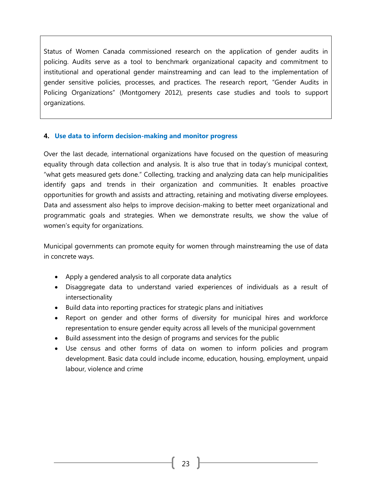Status of Women Canada commissioned research on the application of gender audits in policing. Audits serve as a tool to benchmark organizational capacity and commitment to institutional and operational gender mainstreaming and can lead to the implementation of gender sensitive policies, processes, and practices. The research report, ["Gender Audits in](http://council.vancouver.ca/20180116/documents/rr1presentation.pdf)  [Policing Organizations"](http://council.vancouver.ca/20180116/documents/rr1presentation.pdf) (Montgomery 2012), presents case studies and tools to support organizations.

#### <span id="page-23-0"></span>**4. Use data to inform decision-making and monitor progress**

Over the last decade, international organizations have focused on the question of measuring equality through data collection and analysis. It is also true that in today's municipal context, "what gets measured gets done." Collecting, tracking and analyzing data can help municipalities identify gaps and trends in their organization and communities. It enables proactive opportunities for growth and assists and attracting, retaining and motivating diverse employees. Data and assessment also helps to improve decision-making to better meet organizational and programmatic goals and strategies. When we demonstrate results, we show the value of women's equity for organizations.

Municipal governments can promote equity for women through mainstreaming the use of data in concrete ways.

- Apply a gendered analysis to all corporate data analytics
- Disaggregate data to understand varied experiences of individuals as a result of intersectionality
- Build data into reporting practices for strategic plans and initiatives
- Report on gender and other forms of diversity for municipal hires and workforce representation to ensure gender equity across all levels of the municipal government
- Build assessment into the design of programs and services for the public
- Use census and other forms of data on women to inform policies and program development. Basic data could include income, education, housing, employment, unpaid labour, violence and crime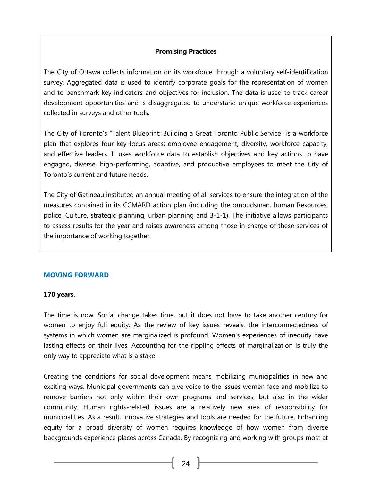# **Promising Practices**

The [City of Ottawa](http://www.ottawa.ca/) collects information on its workforce through a voluntary self-identification survey. Aggregated data is used to identify corporate goals for the representation of women and to benchmark key indicators and objectives for inclusion. The data is used to track career development opportunities and is disaggregated to understand unique workforce experiences collected in surveys and other tools.

The City of Toronto's "Talent Blueprint[: Building a Great Toronto Public Service"](https://www.toronto.ca/wp-content/uploads/2017/10/8ed1-Final-Talent-Blueprint-AODA-compliant.compressed.pdf) is a workforce plan that explores four key focus areas: employee engagement, diversity, workforce capacity, and effective leaders. It uses workforce data to establish objectives and key actions to have engaged, diverse, high-performing, adaptive, and productive employees to meet the City of Toronto's current and future needs.

The City of Gatineau instituted an annual meeting of all services to ensure the integration of the measures contained in its CCMARD action plan (including the ombudsman, human Resources, police, Culture, strategic planning, urban planning and 3-1-1). The initiative allows participants to assess results for the year and raises awareness among those in charge of these services of the importance of working together.

#### <span id="page-24-0"></span>**MOVING FORWARD**

#### **170 years.**

The time is now. Social change takes time, but it does not have to take another century for women to enjoy full equity. As the review of key issues reveals, the interconnectedness of systems in which women are marginalized is profound. Women's experiences of inequity have lasting effects on their lives. Accounting for the rippling effects of marginalization is truly the only way to appreciate what is a stake.

Creating the conditions for social development means mobilizing municipalities in new and exciting ways. Municipal governments can give voice to the issues women face and mobilize to remove barriers not only within their own programs and services, but also in the wider community. Human rights-related issues are a relatively new area of responsibility for municipalities. As a result, innovative strategies and tools are needed for the future. Enhancing equity for a broad diversity of women requires knowledge of how women from diverse backgrounds experience places across Canada. By recognizing and working with groups most at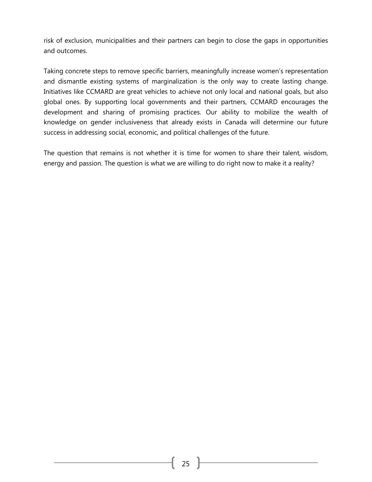risk of exclusion, municipalities and their partners can begin to close the gaps in opportunities and outcomes.

Taking concrete steps to remove specific barriers, meaningfully increase women's representation and dismantle existing systems of marginalization is the only way to create lasting change. Initiatives like CCMARD are great vehicles to achieve not only local and national goals, but also global ones. By supporting local governments and their partners, CCMARD encourages the development and sharing of promising practices. Our ability to mobilize the wealth of knowledge on gender inclusiveness that already exists in Canada will determine our future success in addressing social, economic, and political challenges of the future.

The question that remains is not whether it is time for women to share their talent, wisdom, energy and passion. The question is what we are willing to do right now to make it a reality?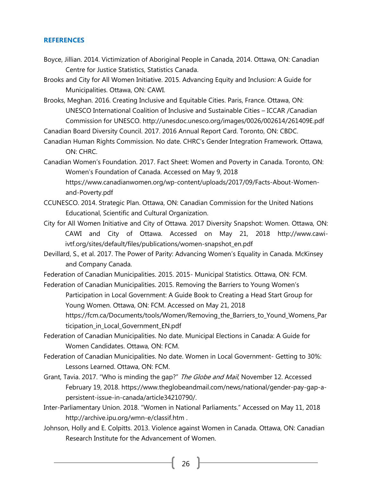#### <span id="page-26-0"></span>**REFERENCES**

- Boyce, Jillian. 2014. [Victimization of Aboriginal People in Canada, 2014.](http://www.statcan.gc.ca/pub/85-002-x/2016001/article/14631-eng.pdf) Ottawa, ON: Canadian Centre for Justice Statistics, Statistics Canada.
- Brooks and City for All Women Initiative. 2015. [Advancing Equity and Inclusion: A Guide for](http://www.cawi-ivtf.org/sites/default/files/publications/advancing-equity-inclusion-web_0.pdf)  [Municipalities.](http://www.cawi-ivtf.org/sites/default/files/publications/advancing-equity-inclusion-web_0.pdf) Ottawa, ON: CAWI.
- Brooks, Meghan. 2016. [Creating](https://www.publicsafety.gc.ca/lbrr/archives/cnmcs-plcng/cn32523-eng.pdf) Inclusive and Equitable Cities. Paris, France. Ottawa, ON: UNESCO International Coalition of Inclusive and Sustainable Cities – ICCAR /Canadian Commission for UNESCO. http://unesdoc.unesco.org/images/0026/002614/261409E.pdf
- Canadian Board Diversity Council. 2017. [2016 Annual Report Card.](http://boarddiversity.ca/sites/default/files/CBDC-Annual-Report-Card-2016.pdf) Toronto, ON: CBDC.
- Canadian Human Rights Commission. No date. [CHRC's Gender Integration](https://www.chrc-ccdp.gc.ca/sites/default/files/gender_integration_framework.pdf) Framework. Ottawa, ON: CHRC.
- Canadian Women's Foundation. 2017. [Fact Sheet: Women and Poverty in Canada.](https://www.canadianwomen.org/wp-content/uploads/2017/09/Facts-About-Women-and-Poverty.pdf) Toronto, ON: Women's Foundation of Canada. Accessed on May 9, 2018 [https://www.canadianwomen.org/wp-content/uploads/2017/09/Facts-About-Women](https://www.canadianwomen.org/wp-content/uploads/2017/09/Facts-About-Women-and-Poverty.pdf)[and-Poverty.pdf](https://www.canadianwomen.org/wp-content/uploads/2017/09/Facts-About-Women-and-Poverty.pdf)
- CCUNESCO. 2014. [Strategic Plan.](http://en.ccunesco.ca/about-ccunesco) Ottawa, ON: Canadian Commission for the United Nations Educational, Scientific and Cultural Organization.
- City for All Women Initiative and City of Ottawa. 2017 Diversity Snapshot: Women. Ottawa, ON: CAWI and City of Ottawa. Accessed on May 21, 2018 [http://www.cawi](http://www.cawi-ivtf.org/sites/default/files/publications/women-snapshot_en.pdf)[ivtf.org/sites/default/files/publications/women-snapshot\\_en.pdf](http://www.cawi-ivtf.org/sites/default/files/publications/women-snapshot_en.pdf)
- Devillard, S., et al. 2017. The Power of Parity: Advancing Women's Equality in Canada. McKinsey and Company Canada.
- Federation of Canadian Municipalities. 2015. 2015- [Municipal Statistics.](http://www.fcm.ca/home/programs/women-in-local-government.htm) Ottawa, ON: FCM.
- Federation of Canadian Municipalities. 2015. Removing the Barriers to Young Women's Participation in Local Government: A Guide Book to Creating a Head Start Group for Young Women. Ottawa, ON: FCM. Accessed on May 21, 2018 [https://fcm.ca/Documents/tools/Women/Removing\\_the\\_Barriers\\_to\\_Yound\\_Womens\\_Par](https://fcm.ca/Documents/tools/Women/Removing_the_Barriers_to_Yound_Womens_Participation_in_Local_Government_EN.pdf) ticipation in Local Government EN.pdf
- Federation of Canadian Municipalities. No date. [Municipal Elections in Canada: A Guide for](https://fcm.ca/Documents/tools/Women/Municipal_Elections_in_Canada_a_Guide_for_Women_Candidates_EN.pdf)  [Women Candidates.](https://fcm.ca/Documents/tools/Women/Municipal_Elections_in_Canada_a_Guide_for_Women_Candidates_EN.pdf) Ottawa, ON: FCM.
- Federation of Canadian Municipalities. No date. [Women in Local Government-](https://fcm.ca/Documents/reports/Women/FCM_Getting_to_30_percent_Lessons_Learned_EN.pdf) Getting to 30%: [Lessons Learned.](https://fcm.ca/Documents/reports/Women/FCM_Getting_to_30_percent_Lessons_Learned_EN.pdf) Ottawa, ON: FCM.
- Grant, Tavia. 2017. "Who is minding the gap?" The Globe and Mail, November 12. Accessed February 19, 2018. [https://www.theglobeandmail.com/news/national/gender-pay-gap-a](https://www.theglobeandmail.com/news/national/gender-pay-gap-a-persistent-issue-in-canada/article34210790/)[persistent-issue-in-canada/article34210790/.](https://www.theglobeandmail.com/news/national/gender-pay-gap-a-persistent-issue-in-canada/article34210790/)
- Inter-Parliamentary Union. 2018. "Women in National Parliaments." Accessed on May 11, 2018 <http://archive.ipu.org/wmn-e/classif.htm> .
- Johnson, Holly and E. Colpitts. 2013. [Violence against Women in Canada.](http://www.criaw-icref.ca/images/userfiles/files/VAW_ENG_longFinal.pdf) Ottawa, ON: Canadian Research Institute for the Advancement of Women.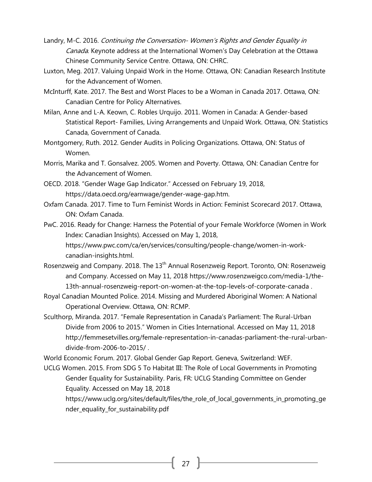- Landry, M-C. 2016. Continuing the Conversation- [Women's Rights and Gender Equality in](https://www.chrc-ccdp.gc.ca/eng/node/2069)  [Canada](https://www.chrc-ccdp.gc.ca/eng/node/2069). Keynote address at the International Women's Day Celebration at the Ottawa Chinese Community Service Centre. Ottawa, ON: CHRC.
- Luxton, Meg. 2017. [Valuing Unpaid Work in the Home.](http://www.criaw-icref.ca/images/userfiles/files/UnpaidWork.pdf) Ottawa, ON: Canadian Research Institute for the Advancement of Women.
- McInturff, Kate. 2017. [The Best and Worst Places to be a Woman in Canada 2017.](https://www.policyalternatives.ca/sites/default/files/uploads/publications/National%20Office/2017/10/Best%20and%20Worst%20Places%20to%20Be%20a%20Woman%202017.pdf) Ottawa, ON: Canadian Centre for Policy Alternatives.
- Milan, Anne and L-A. Keown, C. Robles Urquijo. 2011. [Women in Canada: A Gender-based](http://www.statcan.gc.ca/pub/89-503-x/2010001/article/11546-eng.pdf)  Statistical Report- [Families, Living Arrangements and Unpaid Work.](http://www.statcan.gc.ca/pub/89-503-x/2010001/article/11546-eng.pdf) Ottawa, ON: Statistics Canada, Government of Canada.
- Montgomery, Ruth. 2012. [Gender Audits in Policing Organizations.](https://www.publicsafety.gc.ca/lbrr/archives/cnmcs-plcng/cn32523-eng.pdf) Ottawa, ON: Status of Women.
- Morris, Marika and T. Gonsalvez. 2005. [Women and Poverty.](http://www.criaw-icref.ca/images/userfiles/files/Women%20%26%20Poverty%202005(1).pdf) Ottawa, ON: Canadian Centre for the Advancement of Women.
- OECD. 2018. "Gender Wage Gap Indicator." Accessed on February 19, 2018, [https://data.oecd.org/earnwage/gender-wage-gap.htm.](https://data.oecd.org/earnwage/gender-wage-gap.htm)
- Oxfam Canada. 2017. [Time to Turn Feminist Words in Action: Feminist Scorecard 2017.](https://www.oxfam.ca/sites/default/files/file_attachments/time_to_turn_feminist_words_into_action.pdf) Ottawa, ON: Oxfam Canada.
- PwC. 2016. Ready for Change: Harness the Potential of your Female Workforce (Women in Work Index: Canadian Insights). Accessed on May 1, 2018, [https://www.pwc.com/ca/en/services/consulting/people-change/women-in-work](https://www.pwc.com/ca/en/services/consulting/people-change/women-in-work-canadian-insights.html)[canadian-insights.html.](https://www.pwc.com/ca/en/services/consulting/people-change/women-in-work-canadian-insights.html)
- Rosenzweig and Company. 2018. The 13<sup>th</sup> [Annual Rosenzweig Report.](https://static1.squarespace.com/static/5512c694e4b0dc3ba767febe/t/5aa72b1fe4966b391f03713b/1520905001913/13th-Annual-Rosenzweig-Report-March-2018.pdf) Toronto, ON: Rosenzweig and Company. Accessed on May 11, 2018 [https://www.rosenzweigco.com/media-1/the-](https://www.rosenzweigco.com/media-1/the-13th-annual-rosenzweig-report-on-women-at-the-top-levels-of-corporate-canada)[13th-annual-rosenzweig-report-on-women-at-the-top-levels-of-corporate-canada](https://www.rosenzweigco.com/media-1/the-13th-annual-rosenzweig-report-on-women-at-the-top-levels-of-corporate-canada) .
- Royal Canadian Mounted Police. 2014. [Missing and Murdered Aboriginal Women: A National](http://www.rcmp-grc.gc.ca/wam/media/460/original/0cbd8968a049aa0b44d343e76b4a9478.pdf)  [Operational Overview.](http://www.rcmp-grc.gc.ca/wam/media/460/original/0cbd8968a049aa0b44d343e76b4a9478.pdf) Ottawa, ON: RCMP.
- Sculthorp, Miranda. 2017. ["Female Representation in Canada's Parliament: The Rural](http://femmesetvilles.org/female-representation-in-canadas-parliament-the-rural-urban-divide-from-2006-to-2015/)-Urban [Divide from 2006 to 2015](http://femmesetvilles.org/female-representation-in-canadas-parliament-the-rural-urban-divide-from-2006-to-2015/)." Women in Cities International. Accessed on May 11, 2018 [http://femmesetvilles.org/female-representation-in-canadas-parliament-the-rural-urban](http://femmesetvilles.org/female-representation-in-canadas-parliament-the-rural-urban-divide-from-2006-to-2015/)[divide-from-2006-to-2015/](http://femmesetvilles.org/female-representation-in-canadas-parliament-the-rural-urban-divide-from-2006-to-2015/) .

World Economic Forum. 2017. [Global Gender Gap Report.](http://www3.weforum.org/docs/WEF_GGGR_2017.pdf) Geneva, Switzerland: WEF.

UCLG Women. 2015. From SDG 5 To Habitat III: The Role of Local Governments in Promoting Gender Equality for Sustainability. Paris, FR: UCLG Standing Committee on Gender Equality. Accessed on May 18, 2018

[https://www.uclg.org/sites/default/files/the\\_role\\_of\\_local\\_governments\\_in\\_promoting\\_ge](https://www.uclg.org/sites/default/files/the_role_of_local_governments_in_promoting_gender_equality_for_sustainability.pdf) [nder\\_equality\\_for\\_sustainability.pdf](https://www.uclg.org/sites/default/files/the_role_of_local_governments_in_promoting_gender_equality_for_sustainability.pdf)